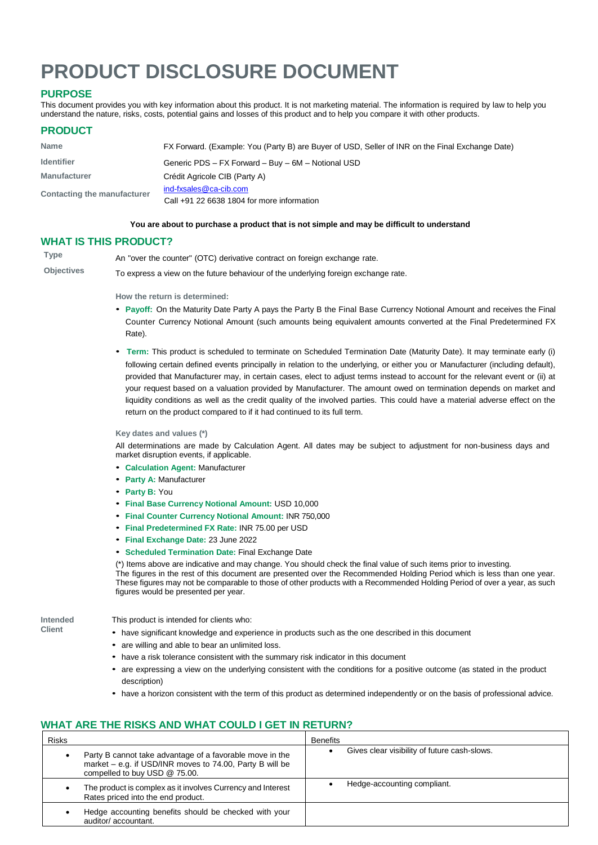# **PRODUCT DISCLOSURE DOCUMENT**

# **PURPOSE**

This document provides you with key information about this product. It is not marketing material. The information is required by law to help you understand the nature, risks, costs, potential gains and losses of this product and to help you compare it with other products.

## **PRODUCT**

| <b>Name</b>                 | FX Forward. (Example: You (Party B) are Buyer of USD, Seller of INR on the Final Exchange Date) |
|-----------------------------|-------------------------------------------------------------------------------------------------|
| <b>Identifier</b>           | Generic PDS - FX Forward - Buy - 6M - Notional USD                                              |
| <b>Manufacturer</b>         | Crédit Agricole CIB (Party A)                                                                   |
| Contacting the manufacturer | ind-fxsales@ca-cib.com                                                                          |
|                             | Call $+91$ 22 6638 1804 for more information                                                    |

## **You are about to purchase a product that is not simple and may be difficult to understand**

## **WHAT IS THIS PRODUCT?**

| Type              | An "over the counter" (OTC) derivative contract on foreign exchange rate.          |
|-------------------|------------------------------------------------------------------------------------|
| <b>Objectives</b> | To express a view on the future behaviour of the underlying foreign exchange rate. |

#### **How the return is determined:**

- **Payoff:** On the Maturity Date Party <sup>A</sup> pays the Party B the Final Base Currency Notional Amount and receives the Final Counter Currency Notional Amount (such amounts being equivalent amounts converted at the Final Predetermined FX Rate).
- **Term:** This product is scheduled to terminate on Scheduled Termination Date (Maturity Date). It may terminate early (i) following certain defined events principally in relation to the underlying, or either you or Manufacturer (including default), provided that Manufacturer may, in certain cases, elect to adjust terms instead to account for the relevant event or (ii) at your request based on a valuation provided by Manufacturer. The amount owed on termination depends on market and liquidity conditions as well as the credit quality of the involved parties. This could have a material adverse effect on the return on the product compared to if it had continued to its full term.

#### **Key dates and values (\*)**

All determinations are made by Calculation Agent. All dates may be subject to adjustment for non-business days and market disruption events, if applicable.

- **Calculation Agent:** Manufacturer
- **Party A:** Manufacturer
- **Party B:** You
- **Final Base Currency Notional Amount:** USD 10,000
- **Final Counter Currency Notional Amount:** INR 750,000
- **Final Predetermined FX Rate:** INR 75.00 per USD
- **Final Exchange Date:** <sup>23</sup> June 2022
- **Scheduled Termination Date:** Final Exchange Date

(\*) Items above are indicative and may change. You should check the final value of such items prior to investing. The figures in the rest of this document are presented over the Recommended Holding Period which is less than one year. These figures may not be comparable to those of other products with a Recommended Holding Period of over a year, as such figures would be presented per year.

**Intended Client**

This product is intended for clients who:

- have significant knowledge and experience in products such as the one described in this document
	- are willing and able to bear an unlimited loss.
	- have a risk tolerance consistent with the summary risk indicator in this document
- are expressing <sup>a</sup> view on the underlying consistent with the conditions for <sup>a</sup> positive outcome (as stated in the product description)
- have a horizon consistent with the term of this product as determined independently or on the basis of professional advice.

## **WHAT ARE THE RISKS AND WHAT COULD I GET IN RETURN?**

| <b>Risks</b>                       |                                                                                                                        | <b>Benefits</b> |                                              |
|------------------------------------|------------------------------------------------------------------------------------------------------------------------|-----------------|----------------------------------------------|
| compelled to buy USD @ 75.00.      | Party B cannot take advantage of a favorable move in the<br>market $-$ e.g. if USD/INR moves to 74.00, Party B will be |                 | Gives clear visibility of future cash-slows. |
| Rates priced into the end product. | The product is complex as it involves Currency and Interest                                                            |                 | Hedge-accounting compliant.                  |
| auditor/accountant.                | Hedge accounting benefits should be checked with your                                                                  |                 |                                              |